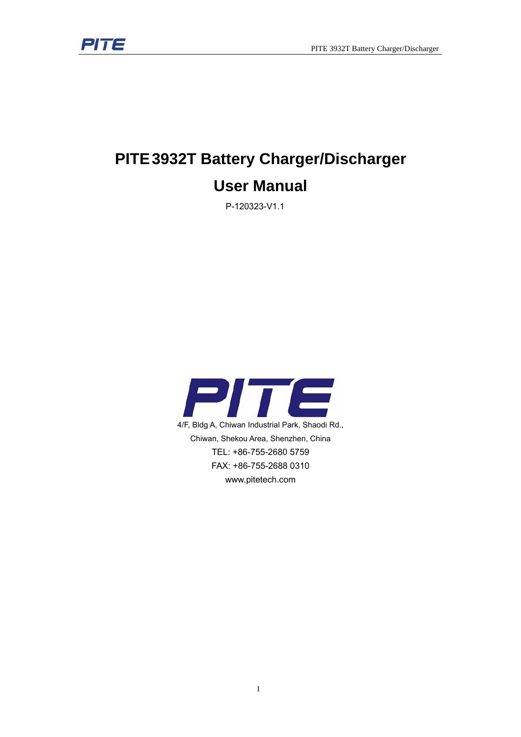

# **PITE 3932T Battery Charger/Discharger**

# **User Manual**

P-120323-V1.1

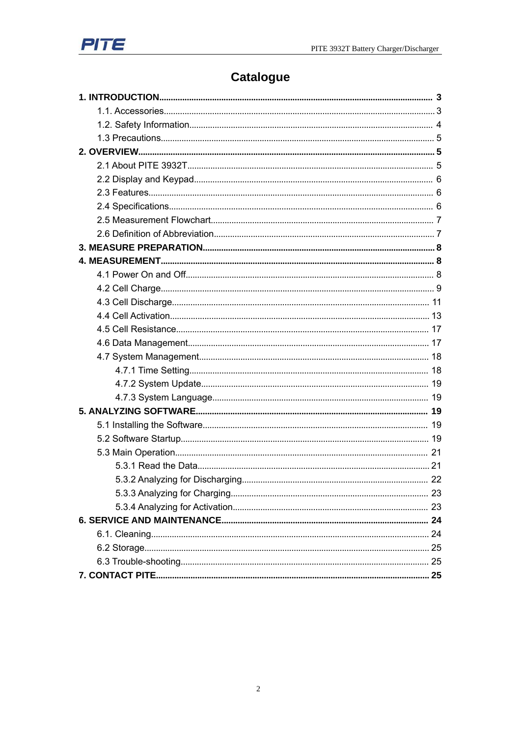

# **Catalogue**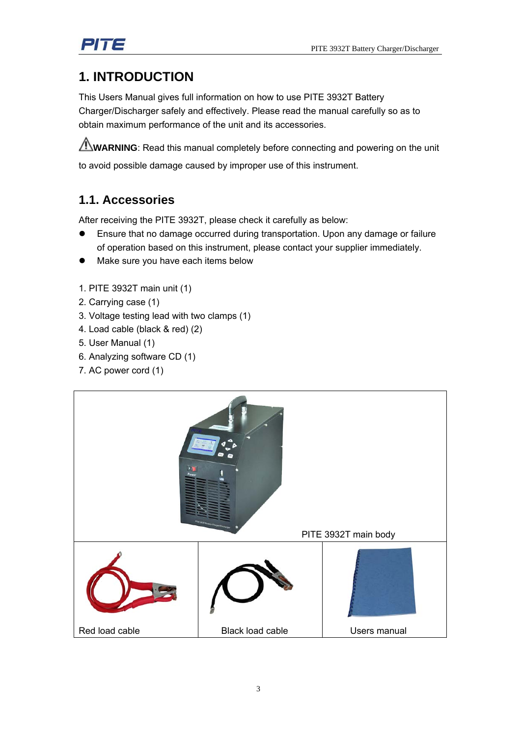

# **1. INTRODUCTION**

This Users Manual gives full information on how to use PITE 3932T Battery Charger/Discharger safely and effectively. Please read the manual carefully so as to obtain maximum performance of the unit and its accessories.

WARNING: Read this manual completely before connecting and powering on the unit to avoid possible damage caused by improper use of this instrument.

# **1.1. Accessories**

After receiving the PITE 3932T, please check it carefully as below:

- Ensure that no damage occurred during transportation. Upon any damage or failure of operation based on this instrument, please contact your supplier immediately.
- Make sure you have each items below
- 1. PITE 3932T main unit (1)
- 2. Carrying case (1)
- 3. Voltage testing lead with two clamps (1)
- 4. Load cable (black & red) (2)
- 5. User Manual (1)
- 6. Analyzing software CD (1)
- 7. AC power cord (1)

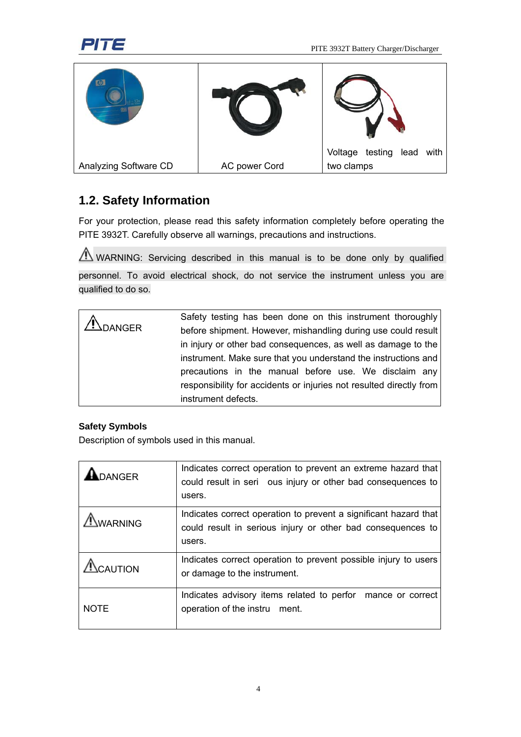

|                       |               | Voltage testing<br>with<br>lead |
|-----------------------|---------------|---------------------------------|
| Analyzing Software CD | AC power Cord | two clamps                      |

# **1.2. Safety Information**

For your protection, please read this safety information completely before operating the PITE 3932T. Carefully observe all warnings, precautions and instructions.

 $\bigwedge$  WARNING: Servicing described in this manual is to be done only by qualified personnel. To avoid electrical shock, do not service the instrument unless you are qualified to do so.

|                | Safety testing has been done on this instrument thoroughly          |
|----------------|---------------------------------------------------------------------|
| <b>ADANGER</b> | before shipment. However, mishandling during use could result       |
|                | in injury or other bad consequences, as well as damage to the       |
|                | instrument. Make sure that you understand the instructions and      |
|                | precautions in the manual before use. We disclaim any               |
|                | responsibility for accidents or injuries not resulted directly from |
|                | instrument defects.                                                 |

#### **Safety Symbols**

Description of symbols used in this manual.

| <b>ANGER</b>   | Indicates correct operation to prevent an extreme hazard that<br>could result in seri ous injury or other bad consequences to<br>users.   |
|----------------|-------------------------------------------------------------------------------------------------------------------------------------------|
| <b>NARNING</b> | Indicates correct operation to prevent a significant hazard that<br>could result in serious injury or other bad consequences to<br>users. |
| CAUTION        | Indicates correct operation to prevent possible injury to users<br>or damage to the instrument.                                           |
| <b>NOTE</b>    | Indicates advisory items related to perfor mance or correct<br>operation of the instru ment.                                              |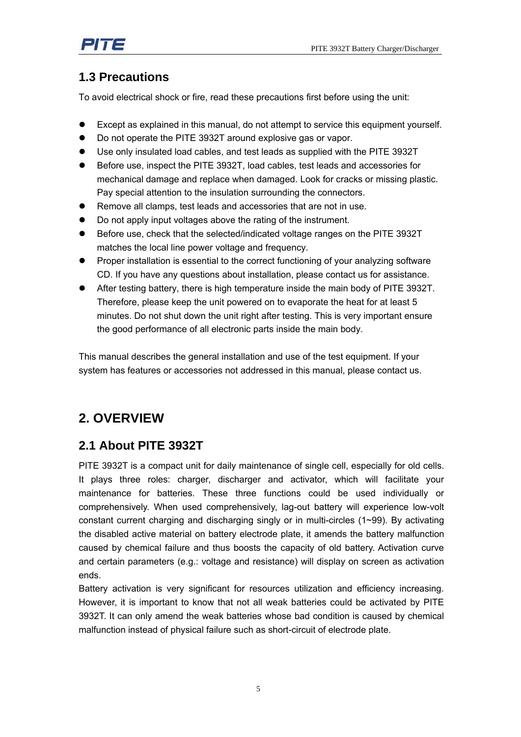

# **1.3 Precautions**

To avoid electrical shock or fire, read these precautions first before using the unit:

- Except as explained in this manual, do not attempt to service this equipment yourself.
- Do not operate the PITE 3932T around explosive gas or vapor.
- $\bullet$  Use only insulated load cables, and test leads as supplied with the PITE 3932T
- Before use, inspect the PITE 3932T, load cables, test leads and accessories for mechanical damage and replace when damaged. Look for cracks or missing plastic. Pay special attention to the insulation surrounding the connectors.
- Remove all clamps, test leads and accessories that are not in use.
- Do not apply input voltages above the rating of the instrument.
- Before use, check that the selected/indicated voltage ranges on the PITE 3932T matches the local line power voltage and frequency.
- Proper installation is essential to the correct functioning of your analyzing software CD. If you have any questions about installation, please contact us for assistance.
- After testing battery, there is high temperature inside the main body of PITE 3932T. Therefore, please keep the unit powered on to evaporate the heat for at least 5 minutes. Do not shut down the unit right after testing. This is very important ensure the good performance of all electronic parts inside the main body.

This manual describes the general installation and use of the test equipment. If your system has features or accessories not addressed in this manual, please contact us.

# **2. OVERVIEW**

## **2.1 About PITE 3932T**

PITE 3932T is a compact unit for daily maintenance of single cell, especially for old cells. It plays three roles: charger, discharger and activator, which will facilitate your maintenance for batteries. These three functions could be used individually or comprehensively. When used comprehensively, lag-out battery will experience low-volt constant current charging and discharging singly or in multi-circles (1~99). By activating the disabled active material on battery electrode plate, it amends the battery malfunction caused by chemical failure and thus boosts the capacity of old battery. Activation curve and certain parameters (e.g.: voltage and resistance) will display on screen as activation ends.

Battery activation is very significant for resources utilization and efficiency increasing. However, it is important to know that not all weak batteries could be activated by PITE 3932T. It can only amend the weak batteries whose bad condition is caused by chemical malfunction instead of physical failure such as short-circuit of electrode plate.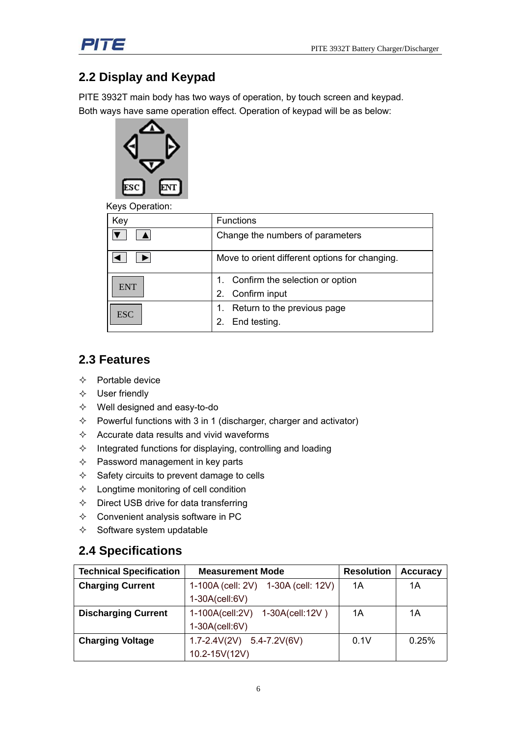

# **2.2 Display and Keypad**

PITE 3932T main body has two ways of operation, by touch screen and keypad. Both ways have same operation effect. Operation of keypad will be as below:



Keys Operation:

| Key        | <b>Functions</b>                               |  |  |
|------------|------------------------------------------------|--|--|
|            | Change the numbers of parameters               |  |  |
|            | Move to orient different options for changing. |  |  |
| <b>ENT</b> | 1. Confirm the selection or option             |  |  |
|            | Confirm input<br>2.                            |  |  |
| <b>ESC</b> | Return to the previous page                    |  |  |
|            | End testing.                                   |  |  |

### **2.3 Features**

- $\Leftrightarrow$  Portable device
- $\Leftrightarrow$  User friendly
- Well designed and easy-to-do
- $\Diamond$  Powerful functions with 3 in 1 (discharger, charger and activator)
- $\Diamond$  Accurate data results and vivid waveforms
- $\Diamond$  Integrated functions for displaying, controlling and loading
- $\Diamond$  Password management in key parts
- $\Diamond$  Safety circuits to prevent damage to cells
- $\Diamond$  Longtime monitoring of cell condition
- $\Diamond$  Direct USB drive for data transferring
- $\Diamond$  Convenient analysis software in PC
- $\Leftrightarrow$  Software system updatable

#### **2.4 Specifications**

| <b>Technical Specification</b> | <b>Measurement Mode</b>             | <b>Resolution</b> | <b>Accuracy</b> |
|--------------------------------|-------------------------------------|-------------------|-----------------|
| <b>Charging Current</b>        | 1-100A (cell: 2V) 1-30A (cell: 12V) | 1A                | 1Α              |
|                                | 1-30A(cell:6V)                      |                   |                 |
| <b>Discharging Current</b>     | 1-100A(cell:2V) 1-30A(cell:12V)     | 1А                | 1Α              |
|                                | $1-30A$ (cell:6V)                   |                   |                 |
| <b>Charging Voltage</b>        | $1.7 - 2.4V(2V)$ 5.4-7.2V(6V)       | 0.1V              | 0.25%           |
|                                | 10.2-15V(12V)                       |                   |                 |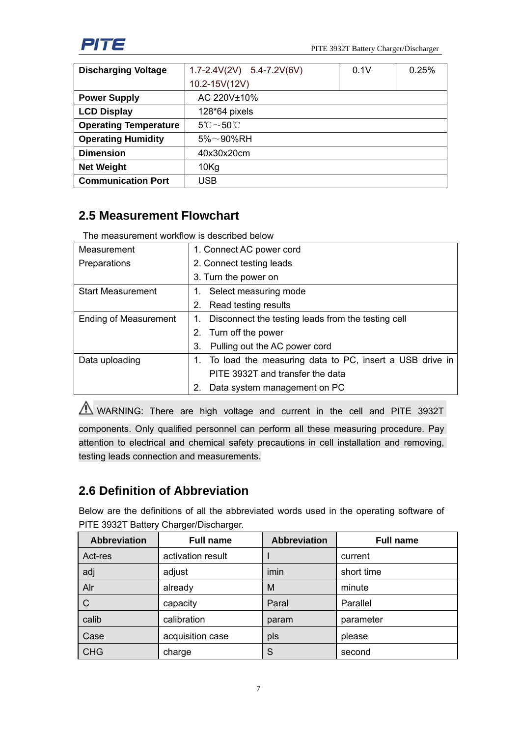

| <b>Discharging Voltage</b>   | 0.25%<br>$1.7 - 2.4V(2V)$ 5.4-7.2V(6V)<br>0.1V |  |  |
|------------------------------|------------------------------------------------|--|--|
|                              | 10.2-15V(12V)                                  |  |  |
| <b>Power Supply</b>          | AC 220V±10%                                    |  |  |
| <b>LCD Display</b>           | $128*64$ pixels                                |  |  |
| <b>Operating Temperature</b> | $5^{\circ}\text{C} \sim 50^{\circ}\text{C}$    |  |  |
| <b>Operating Humidity</b>    | $5\%{\sim}90\%$ RH                             |  |  |
| <b>Dimension</b>             | 40x30x20cm                                     |  |  |
| <b>Net Weight</b>            | $10$ Kg                                        |  |  |
| <b>Communication Port</b>    | USB                                            |  |  |

# **2.5 Measurement Flowchart**

The measurement workflow is described below

| Measurement                  | 1. Connect AC power cord                                   |  |  |
|------------------------------|------------------------------------------------------------|--|--|
| Preparations                 | 2. Connect testing leads                                   |  |  |
|                              | 3. Turn the power on                                       |  |  |
| <b>Start Measurement</b>     | Select measuring mode                                      |  |  |
|                              | Read testing results<br>2.                                 |  |  |
| <b>Ending of Measurement</b> | Disconnect the testing leads from the testing cell         |  |  |
|                              | Turn off the power<br>2.                                   |  |  |
|                              | Pulling out the AC power cord<br>3.                        |  |  |
| Data uploading               | 1. To load the measuring data to PC, insert a USB drive in |  |  |
|                              | PITE 3932T and transfer the data                           |  |  |
|                              | Data system management on PC<br>2.                         |  |  |

 $\triangle$  WARNING: There are high voltage and current in the cell and PITE 3932T

components. Only qualified personnel can perform all these measuring procedure. Pay attention to electrical and chemical safety precautions in cell installation and removing, testing leads connection and measurements.

# **2.6 Definition of Abbreviation**

Below are the definitions of all the abbreviated words used in the operating software of PITE 3932T Battery Charger/Discharger.

| <b>Abbreviation</b> | <b>Full name</b>  | <b>Abbreviation</b> | <b>Full name</b> |
|---------------------|-------------------|---------------------|------------------|
| Act-res             | activation result |                     | current          |
| adj                 | adjust            | imin                | short time       |
| Alr                 | already           | M                   | minute           |
| $\mathsf{C}$        | capacity          | Paral               | Parallel         |
| calib               | calibration       | param               | parameter        |
| Case                | acquisition case  | pls                 | please           |
| CHG                 | charge            | S                   | second           |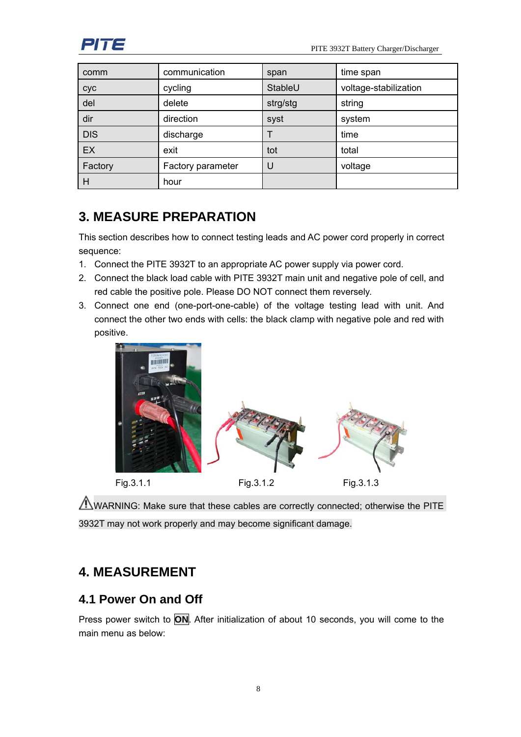

| comm       | communication     | span     | time span             |
|------------|-------------------|----------|-----------------------|
| cyc        | cycling           | StableU  | voltage-stabilization |
| del        | delete            | strg/stg | string                |
| dir        | direction         | syst     | system                |
| <b>DIS</b> | discharge         |          | time                  |
| EX         | exit              | tot      | total                 |
| Factory    | Factory parameter | U        | voltage               |
| H          | hour              |          |                       |

# **3. MEASURE PREPARATION**

This section describes how to connect testing leads and AC power cord properly in correct sequence:

- 1. Connect the PITE 3932T to an appropriate AC power supply via power cord.
- 2. Connect the black load cable with PITE 3932T main unit and negative pole of cell, and red cable the positive pole. Please DO NOT connect them reversely.
- 3. Connect one end (one-port-one-cable) of the voltage testing lead with unit. And connect the other two ends with cells: the black clamp with negative pole and red with positive.



WARNING: Make sure that these cables are correctly connected; otherwise the PITE 3932T may not work properly and may become significant damage.

# **4. MEASUREMENT**

## **4.1 Power On and Off**

Press power switch to **ON**. After initialization of about 10 seconds, you will come to the main menu as below: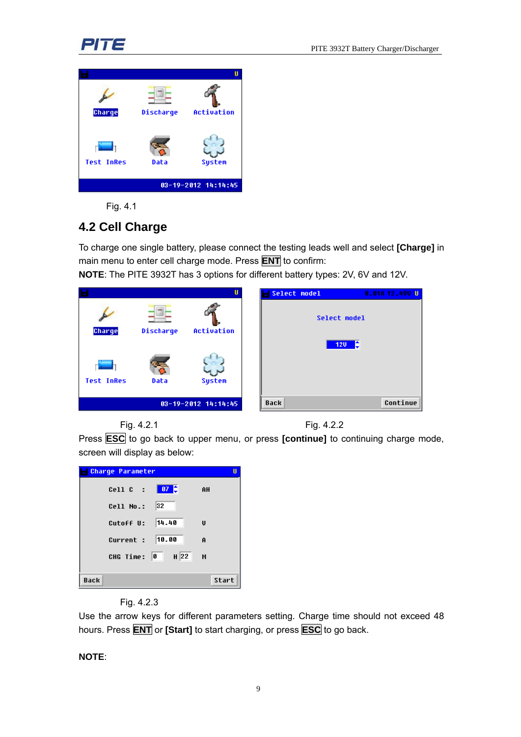# 가て



Fig. 4.1

# **4.2 Cell Charge**

To charge one single battery, please connect the testing leads well and select **[Charge]** in main menu to enter cell charge mode. Press **ENT** to confirm:

**NOTE**: The PITE 3932T has 3 options for different battery types: 2V, 6V and 12V.

|                   |             | П                   | Select model | 0.01012.490U |
|-------------------|-------------|---------------------|--------------|--------------|
| Charge            | Discharge   | Activation          | Select model |              |
|                   |             |                     | 120          | - €          |
| <b>Test InRes</b> | बन्<br>Data | <b>System</b>       |              |              |
|                   |             | 03-19-2012 14:14:45 | <b>Back</b>  | Continue     |





Press **ESC** to go back to upper menu, or press **[continue]** to continuing charge mode, screen will display as below:

| <b>Charge Parameter</b>               | П            |
|---------------------------------------|--------------|
| $Cell C$ :                            | AH           |
| 32<br>Cell No.:                       |              |
| Cutoff U: $ 14.40$                    | $\mathbf{u}$ |
| Current : 10.00                       | Ĥ            |
| $H$ 22<br>$\blacksquare$<br>CHG Time: | М            |
|                                       |              |
| <b>Back</b>                           | Start        |

Fig. 4.2.3

Use the arrow keys for different parameters setting. Charge time should not exceed 48 hours. Press **ENT** or **[Start]** to start charging, or press **ESC** to go back.

#### **NOTE**: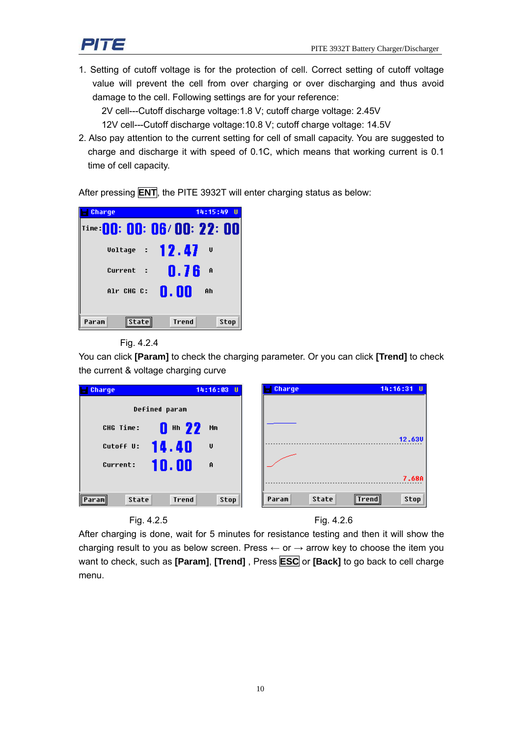1. Setting of cutoff voltage is for the protection of cell. Correct setting of cutoff voltage value will prevent the cell from over charging or over discharging and thus avoid damage to the cell. Following settings are for your reference:

2V cell---Cutoff discharge voltage:1.8 V; cutoff charge voltage: 2.45V

12V cell---Cutoff discharge voltage:10.8 V; cutoff charge voltage: 14.5V

2. Also pay attention to the current setting for cell of small capacity. You are suggested to charge and discharge it with speed of 0.1C, which means that working current is 0.1 time of cell capacity.

After pressing **ENT**, the PITE 3932T will enter charging status as below:



#### Fig. 4.2.4

You can click **[Param]** to check the charging parameter. Or you can click **[Trend]** to check the current & voltage charging curve



After charging is done, wait for 5 minutes for resistance testing and then it will show the charging result to you as below screen. Press  $\leftarrow$  or  $\rightarrow$  arrow key to choose the item you want to check, such as **[Param]**, **[Trend]** , Press **ESC** or **[Back]** to go back to cell charge menu.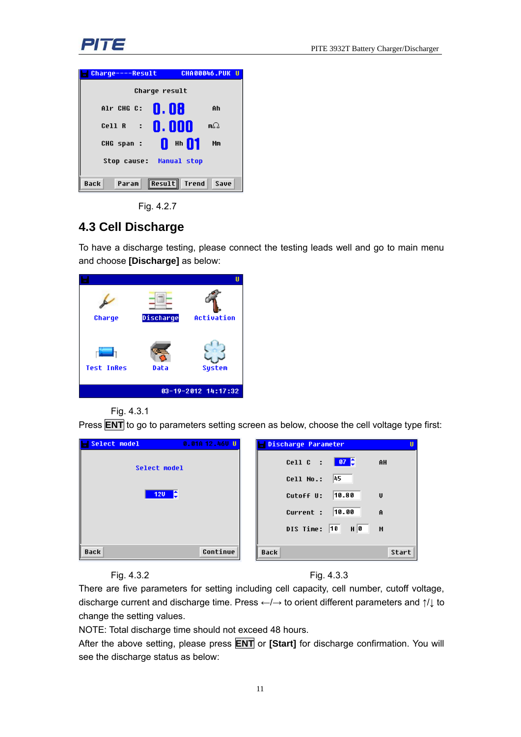



Fig. 4.2.7

# **4.3 Cell Discharge**

To have a discharge testing, please connect the testing leads well and go to main menu and choose **[Discharge]** as below:

| Charge            | Discharge | Activation          |
|-------------------|-----------|---------------------|
| <b>Test InRes</b> | Data      | System              |
|                   |           | 03-19-2012 14:17:32 |

Fig. 4.3.1

Press **ENT** to go to parameters setting screen as below, choose the cell voltage type first:

| <b>Select model</b> | 0.01A 12.46U U | Discharge Parameter                | п |
|---------------------|----------------|------------------------------------|---|
| Select model        |                | Cell C : $\frac{07}{2}$<br>AH      |   |
|                     |                | 45<br>Cell No.:                    |   |
| $120$ $\theta$      |                | 10.80<br>Cutoff U:<br>U            |   |
|                     |                | 10.00<br>Current :<br>$\mathbf{A}$ |   |
|                     |                | DIS Time: 10<br>$H$ 0<br>М         |   |
|                     |                |                                    |   |
| <b>Back</b>         | Continue       | Start<br><b>Back</b>               |   |

Fig. 4.3.2 Fig. 4.3.3

There are five parameters for setting including cell capacity, cell number, cutoff voltage, discharge current and discharge time. Press ←/→ to orient different parameters and ↑/↓ to change the setting values.

NOTE: Total discharge time should not exceed 48 hours.

After the above setting, please press **ENT** or **[Start]** for discharge confirmation. You will see the discharge status as below: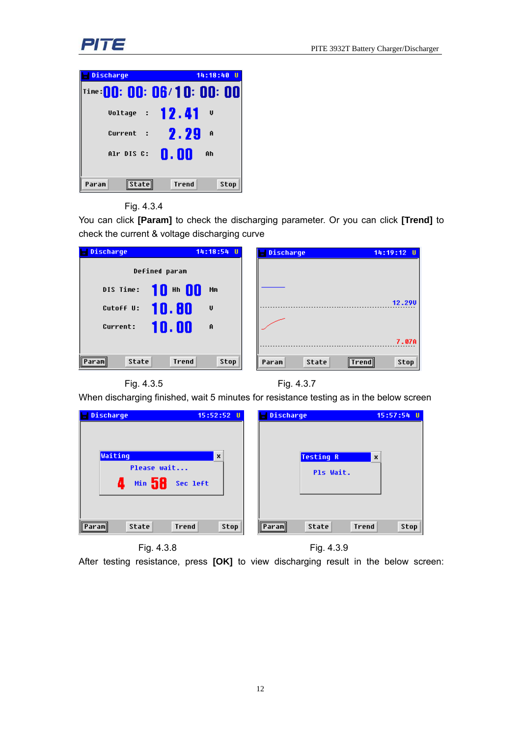

| Discharge             | 14:18:40<br>- 11           |
|-----------------------|----------------------------|
|                       | Time:00: 00: 06/10: 00: 00 |
| Voltage : $12.41$     | v                          |
| Current<br>- 2        | 2.29<br>A                  |
| Alr DIS C:            | 0. ON<br>Ah                |
| <b>State</b><br>Param | Stop<br><b>Trend</b>       |

#### Fig. 4.3.4

You can click **[Param]** to check the discharging parameter. Or you can click **[Trend]** to check the current & voltage discharging curve

| Discharge                        | 14:18:54 U     | Discharge<br>$14:19:12$ U                       |
|----------------------------------|----------------|-------------------------------------------------|
| Defined param                    |                |                                                 |
| $10 - 00$<br>DIS Time:           | Mm             |                                                 |
| 10.80<br>Cutoff U:               | U              | 12.290                                          |
| 10.00<br>Current:                | $\overline{a}$ |                                                 |
|                                  |                | 7.07A                                           |
| State<br><b>Trend</b><br>∥Param∥ | Stop           | <b>State</b><br><b>Stop</b><br>Param<br>∣Trend∥ |

Fig. 4.3.5 Fig. 4.3.7

When discharging finished, wait 5 minutes for resistance testing as in the below screen

| Discharge                                                              | Discharge                                                  |
|------------------------------------------------------------------------|------------------------------------------------------------|
| $15:52:52$ U                                                           | $15:57:54$ U                                               |
| $\boldsymbol{\mathsf{x}}$<br>Waiting<br>Please wait<br>Min 58 Sec left | <b>Testing R</b><br>$\boldsymbol{\mathsf{x}}$<br>Pls Wait. |
| State                                                                  | <b>State</b>                                               |
| <b>Trend</b>                                                           | <b>Trend</b>                                               |
| $\text{Stop}$                                                          | Stop                                                       |
| Paraml                                                                 | Param                                                      |



After testing resistance, press **[OK]** to view discharging result in the below screen: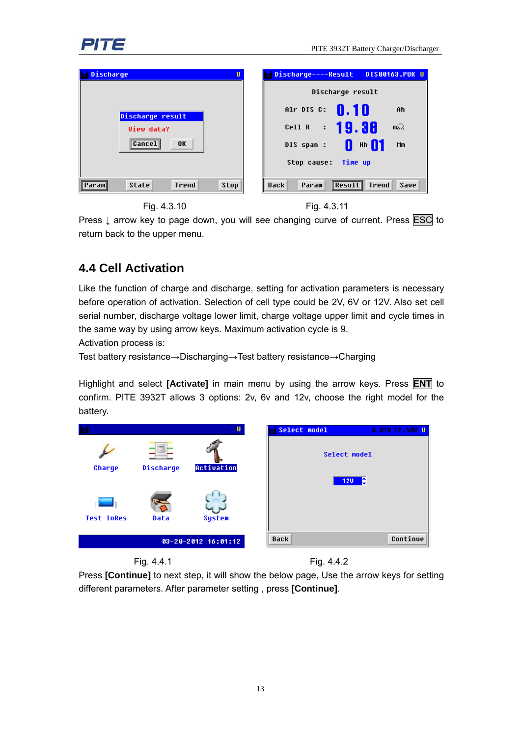

| Discharge<br>U                          | Discharge----Result DIS00163.PUK U                       |
|-----------------------------------------|----------------------------------------------------------|
|                                         | Discharge result                                         |
| Discharge result                        | Alr DIS C $\sqrt{0.10}$<br>Ah                            |
| <b>View data?</b>                       | Cell R : 19.38<br>m $\Omega$                             |
| <b>OK</b><br>∥Cancel∥                   | <b>Hh</b> 11<br>DIS span :<br>Ш<br>Mm                    |
|                                         | Stop cause: Time up                                      |
| <b>State</b><br>Trend<br>Stop<br>Paraml | ∥Result∥<br><b>Trend</b><br>Save<br><b>Back</b><br>Param |

Fig. 4.3.10 Fig. 4.3.11



Press ↓ arrow key to page down, you will see changing curve of current. Press ESC to return back to the upper menu.

# **4.4 Cell Activation**

Like the function of charge and discharge, setting for activation parameters is necessary before operation of activation. Selection of cell type could be 2V, 6V or 12V. Also set cell serial number, discharge voltage lower limit, charge voltage upper limit and cycle times in the same way by using arrow keys. Maximum activation cycle is 9.

Activation process is:

Test battery resistance→Discharging→Test battery resistance→Charging

Highlight and select **[Activate]** in main menu by using the arrow keys. Press **ENT** to confirm. PITE 3932T allows 3 options: 2v, 6v and 12v, choose the right model for the battery.





Fig. 4.4.1 Fig. 4.4.2

Press **[Continue]** to next step, it will show the below page, Use the arrow keys for setting different parameters. After parameter setting , press **[Continue]**.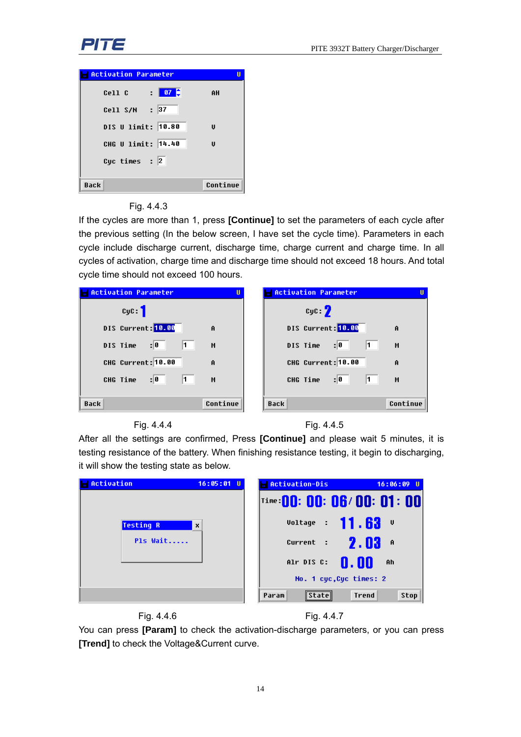

| <b>Activation Parameter</b>              |          |
|------------------------------------------|----------|
| $\frac{1}{2}$ 67 $\frac{1}{2}$<br>Cell C | AH       |
| Cell S/N : 37                            |          |
| DIS U limit: 10.80                       | U        |
| CHG U limit: 14.40                       | U        |
| Cyc times : $ 2 $                        |          |
| <b>Back</b>                              | Continue |

#### Fig. 4.4.3

If the cycles are more than 1, press **[Continue]** to set the parameters of each cycle after the previous setting (In the below screen, I have set the cycle time). Parameters in each cycle include discharge current, discharge time, charge current and charge time. In all cycles of activation, charge time and discharge time should not exceed 18 hours. And total cycle time should not exceed 100 hours.

| <b>Activation Parameter</b><br>U | <b>Activation Parameter</b> |
|----------------------------------|-----------------------------|
| cyc:                             | cyc: 2                      |
| DIS Current: 10.00               | DIS Current: 10.00          |
| $\mathbf{A}$                     | $\mathbf{A}$                |
| 11.                              | : 0                         |
| z 0                              | 11.                         |
| DIS Time                         | DIS Time                    |
| М                                | М                           |
| CHG Current: 10.00               | CHG Current: 10.00          |
| $\mathbf{A}$                     | Ĥ                           |
| z 0                              | $\vert$ 1                   |
| $\sqrt{1}$ $\sqrt{2}$            | 0                           |
| $-M$                             | CHG Time                    |
| CHG Time                         | М                           |
|                                  |                             |
| Continue                         | Continue                    |
| <b>Back</b>                      | <b>Back</b>                 |





After all the settings are confirmed, Press **[Continue]** and please wait 5 minutes, it is testing resistance of the battery. When finishing resistance testing, it begin to discharging, it will show the testing state as below.

| Activation       | $16:05:01$ U | <b>Activation-Dis</b><br>$16:06:09$ U   |
|------------------|--------------|-----------------------------------------|
|                  |              | $ $ Time:00: 00: 06/00: 01: 00          |
| <b>Testing R</b> | ×            | Voltage : 11.63 <b>V</b>                |
| Pls Wait         |              | Current : $\sqrt{2}$ , $\sqrt{3}$ A     |
|                  |              | Alr DIS C: $\mathbf{0}$ . On<br>Ah      |
|                  |              | No. 1 cyc, Cyc times: 2                 |
|                  |              | Stop<br><b>Trend</b><br>Param<br>statel |



You can press **[Param]** to check the activation-discharge parameters, or you can press **[Trend]** to check the Voltage&Current curve.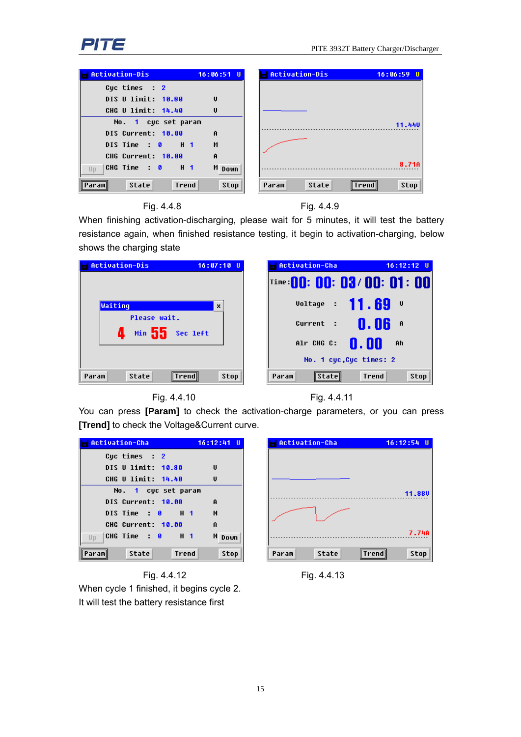

| Activation-Dis<br><b>Service Service</b> | $16:06:51$ U       | Activation-Dis | $16:06:59$ U   |
|------------------------------------------|--------------------|----------------|----------------|
| Cuc times $: 2$                          |                    |                |                |
| DIS U limit: 10.80                       | $\mathbf{U}$       |                |                |
| CHG U limit: 14.40                       | <b>U</b>           |                |                |
| No. 1 cuc set param                      |                    |                | 11.440         |
| DIS Current: 10.00                       | $\mathbf{a}$       |                |                |
| DISTIME 0 H 1                            | М                  |                |                |
| CHG Current: 10.00                       | $\mathbf{\hat{H}}$ |                |                |
| CHG Time : 0 H 1<br>UD                   | M Down             |                | 8.718          |
| State<br>Trend<br>Paraml                 | Stop               | State<br>Param | Stop<br>∥Trend |





When finishing activation-discharging, please wait for 5 minutes, it will test the battery resistance again, when finished resistance testing, it begin to activation-charging, below shows the charging state







You can press **[Param]** to check the activation-charge parameters, or you can press **[Trend]** to check the Voltage&Current curve.

| <b>Activation-Cha</b>          | $16:12:41$ U |
|--------------------------------|--------------|
| Cuc times : 2                  |              |
| DIS U limit: 10.80             | U            |
| CHG U limit: 14.40             | U            |
| No. 1 cyc set param            |              |
| <b>DIS Current: 10.00</b>      | Ĥ            |
| DISTime: 0 H 1                 | М            |
| CHG Current: 10.00             | Ĥ            |
| Up                             | M Down       |
| State<br><b>Trend</b><br>Param | Stop         |

Fig. 4.4.12 Fig. 4.4.13 When cycle 1 finished, it begins cycle 2. It will test the battery resistance first

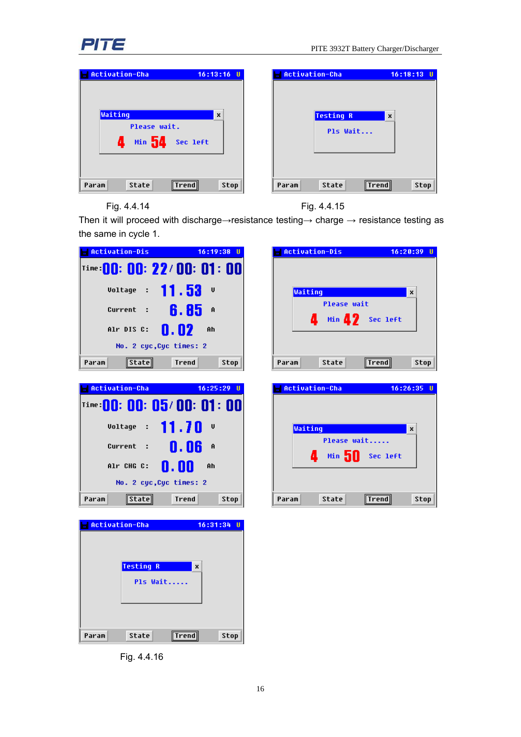

| Activation-Cha                                             | $16:13:16$ U              | Activation-Cha               | $16:18:13$ U              |
|------------------------------------------------------------|---------------------------|------------------------------|---------------------------|
| Waiting<br>Please wait.<br><b>Min</b> 54<br>Д.<br>Sec left | $\boldsymbol{\mathsf{x}}$ | <b>Testing R</b><br>Pls Wait | $\boldsymbol{\mathsf{x}}$ |
| State<br>Param<br> Trend                                   | $\text{Stop}$             | State<br>Param               | Stop<br><b>Trend</b>      |

Fig. 4.4.14 Fig. 4.4.15

Then it will proceed with discharge→resistance testing→ charge → resistance testing as the same in cycle 1.

| <b>Activation-Dis</b>                          | $16:19:38$ U         | <b>Activation-Dis</b>          | $16:20:39$ U         |
|------------------------------------------------|----------------------|--------------------------------|----------------------|
| ™ <b>©0: 00: 22/00: 01: 00</b>                 |                      |                                |                      |
| Voltage : 11.53                                | V                    | Waiting                        | x                    |
| Current : $\frac{6}{6}$ . 85 $\frac{8}{3}$     |                      | <b>Please wait</b>             |                      |
| Alr DIS C:                                     | 0.02<br>Ah           | thin 4.2 Sec left              |                      |
| No. 2 cyc, Cyc times: 2                        |                      |                                |                      |
| <b>State</b><br>Param                          | <b>Trend</b><br>Stop | <b>State</b><br>Param          | <b>Trend</b><br>Stop |
| Activation-Cha                                 | $16:25:29$ U         | Activation-Cha                 | $16:26:35$ U         |
| Time: 00: 00: 05/ 00: 01: 00                   |                      |                                |                      |
| Voltage : $11.70$ V                            |                      | Waiting                        | ×                    |
| Current : $\mathbf{0.06}$ A                    |                      | Please wait<br>Min 50 Sec left |                      |
| Alr CHG C:                                     | 0.00<br>Ah           | д                              |                      |
| No. 2 cyc, Cyc times: 2                        |                      |                                |                      |
| <b>State</b><br>Param                          | <b>Trend</b><br>Stop | State<br>Param                 | <b>Trend</b><br>Stop |
| Activation-Cha<br><b>Testing R</b><br>Pls Wait | $16:31:34$ U<br>x    |                                |                      |
|                                                |                      |                                |                      |

Fig. 4.4.16

State

**Trend** 

Param

 $\mathsf{Stop}$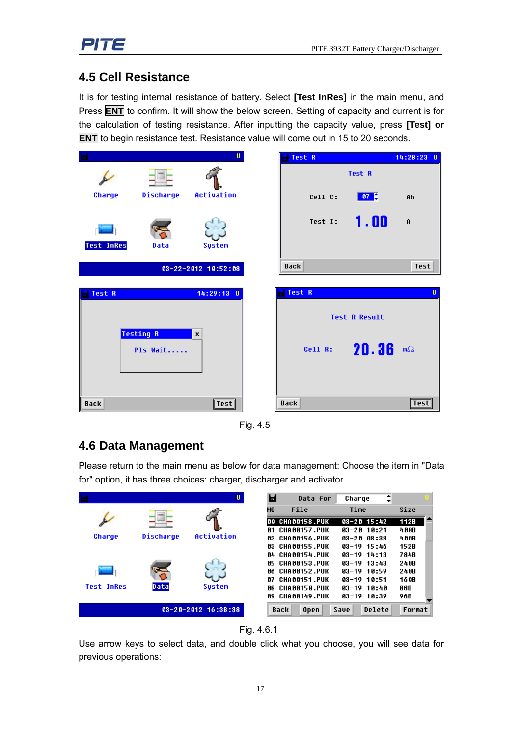# **4.5 Cell Resistance**

It is for testing internal resistance of battery. Select **[Test InRes]** in the main menu, and Press **ENT** to confirm. It will show the below screen. Setting of capacity and current is for the calculation of testing resistance. After inputting the capacity value, press **[Test] or ENT** to begin resistance test. Resistance value will come out in 15 to 20 seconds.

|                   |                              | U.                        | Test R      | 14:28:23<br>U                                                                              |
|-------------------|------------------------------|---------------------------|-------------|--------------------------------------------------------------------------------------------|
|                   |                              |                           |             | Test R                                                                                     |
| Charge            | Discharge                    | Activation                | Cell C:     | $\begin{array}{ c c c }\n\hline\n\textbf{07} & \textbf{0} & \textbf{0}\n\end{array}$<br>Ah |
| <b>Test InRes</b> | Data                         | <b>System</b>             | Test I:     | 1.00<br>$\mathbf{\hat{H}}$                                                                 |
|                   |                              | $03 - 22 - 2012$ 10:52:08 | <b>Back</b> | Test                                                                                       |
|                   |                              |                           |             |                                                                                            |
| Test R            |                              | 14:29:13 U                | Test R      | п                                                                                          |
|                   |                              |                           |             | <b>Test R Result</b>                                                                       |
|                   | <b>Testing R</b><br>Pls Wait | ×                         | Cell R:     | $20.36$ mo                                                                                 |
| <b>Back</b>       |                              | $\vert$ Test $\vert$      | <b>Back</b> | $\sqrt{\text{Test}}$                                                                       |

Fig. 4.5

# **4.6 Data Management**

Please return to the main menu as below for data management: Choose the item in "Data for" option, it has three choices: charger, discharger and activator

|                   |           | U                         | Ы   | Data for            | Charge           | ⇡      |        |  |
|-------------------|-----------|---------------------------|-----|---------------------|------------------|--------|--------|--|
|                   |           |                           | N0  | File                | Time             |        | Size   |  |
|                   |           |                           | 66  | <b>CHA00158.PUK</b> | $03 - 20$ 15:42  |        | 112B   |  |
|                   |           |                           | 81  | <b>CHA00157.PUK</b> | $03 - 20110:21$  |        | 400B   |  |
| Charge            | Discharge | Activation                | 82  | CHA00156.PUK        | $03 - 2008 : 38$ |        | 400B   |  |
|                   |           |                           | 83. | CHA00155.PUK        | $03 - 19$ 15:46  |        | 152B   |  |
|                   |           |                           | A4. | CHAAA154.PIIK       | $03-19$ $14:13$  |        | 784B   |  |
|                   |           |                           | 85  | <b>CHA00153.PUK</b> | $03 - 19$ 13:43  |        | 240B   |  |
|                   | œ         |                           | 86  | <b>CHA00152.PUK</b> | $03-19$ 10:59    |        | 240B   |  |
|                   |           |                           | 87  | <b>CHA00151.PUK</b> | $03-19$ 10:51    |        | 16 QB  |  |
| <b>Test InRes</b> | Data      | <b>Sustem</b>             | 88  | <b>CHAAA15A.PUK</b> | $03 - 19$ 10:40  |        | 88B    |  |
|                   |           |                           | A9  | <b>CHA00149.PUK</b> | $03 - 19$ 10:39  |        | 96B    |  |
|                   |           | $03 - 20 - 2012$ 16:38:38 |     | Back<br>Open        | Save             | Delete | Format |  |

Fig. 4.6.1

Use arrow keys to select data, and double click what you choose, you will see data for previous operations: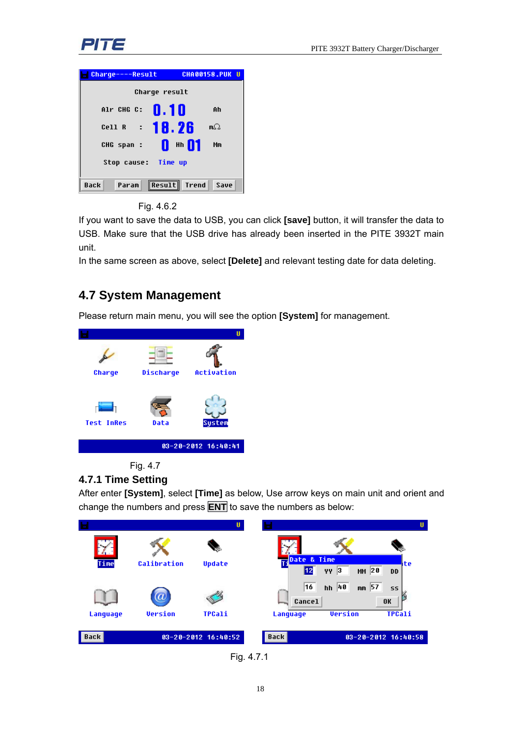



Fig. 4.6.2

If you want to save the data to USB, you can click **[save]** button, it will transfer the data to USB. Make sure that the USB drive has already been inserted in the PITE 3932T main unit.

In the same screen as above, select **[Delete]** and relevant testing date for data deleting.

# **4.7 System Management**

Please return main menu, you will see the option **[System]** for management.





#### **4.7.1 Time Setting**

After enter **[System]**, select **[Time]** as below, Use arrow keys on main unit and orient and change the numbers and press **ENT** to save the numbers as below:



Fig. 4.7.1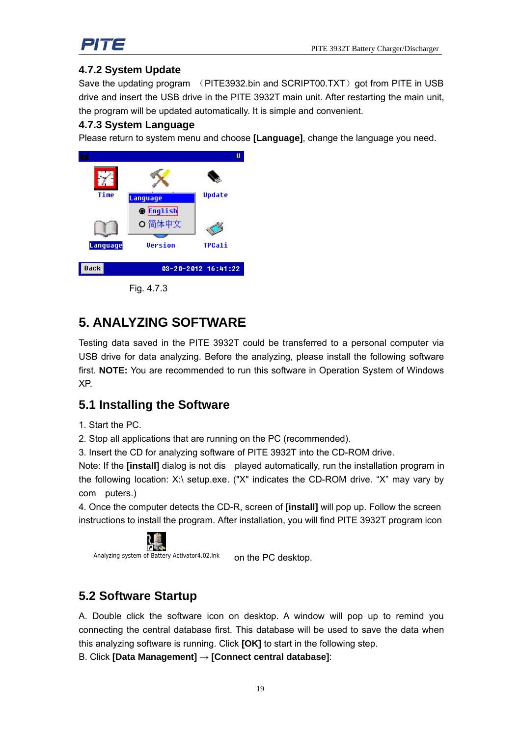

#### **4.7.2 System Update**

Save the updating program (PITE3932.bin and SCRIPT00.TXT) got from PITE in USB drive and insert the USB drive in the PITE 3932T main unit. After restarting the main unit, the program will be updated automatically. It is simple and convenient.

#### **4.7.3 System Language**

Please return to system menu and choose **[Language]**, change the language you need.



Fig. 4.7.3

# **5. ANALYZING SOFTWARE**

Testing data saved in the PITE 3932T could be transferred to a personal computer via USB drive for data analyzing. Before the analyzing, please install the following software first. **NOTE:** You are recommended to run this software in Operation System of Windows XP.

## **5.1 Installing the Software**

1. Start the PC.

2. Stop all applications that are running on the PC (recommended).

3. Insert the CD for analyzing software of PITE 3932T into the CD-ROM drive.

Note: If the **[install]** dialog is not dis played automatically, run the installation program in the following location: X:\ setup.exe. ("X" indicates the CD-ROM drive. "X" may vary by com puters.)

4. Once the computer detects the CD-R, screen of **[install]** will pop up. Follow the screen instructions to install the program. After installation, you will find PITE 3932T program icon



Analyzing system of Battery Activator4.02.lnk on the PC desktop.

# **5.2 Software Startup**

A. Double click the software icon on desktop. A window will pop up to remind you connecting the central database first. This database will be used to save the data when this analyzing software is running. Click **[OK]** to start in the following step.

B. Click **[Data Management]** → **[Connect central database]**: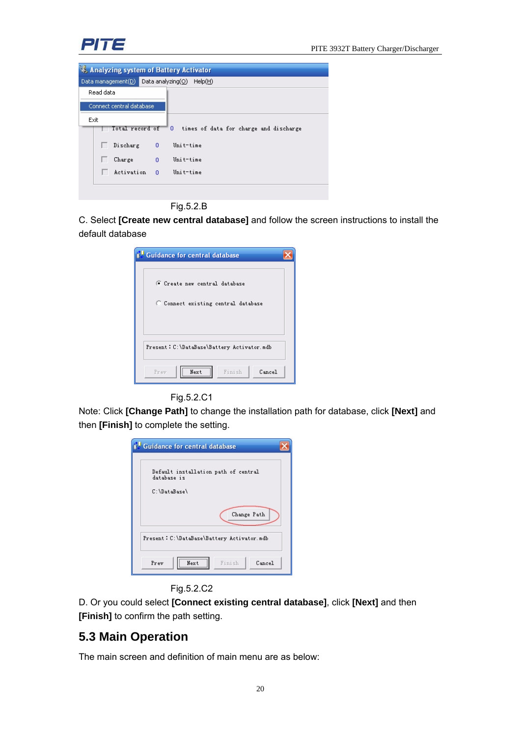

| Analyzing system of Battery Activator |                |                                             |  |  |
|---------------------------------------|----------------|---------------------------------------------|--|--|
|                                       |                |                                             |  |  |
| Read data                             |                |                                             |  |  |
| Connect central database              |                |                                             |  |  |
| Exit                                  |                |                                             |  |  |
| Total record of -                     |                | 0<br>times of data for charge and discharge |  |  |
| Discharg 0                            |                | Unit-time                                   |  |  |
| Charge                                | $\overline{0}$ | Unit-time                                   |  |  |
| Activation                            | $\Omega$       | Unit-time                                   |  |  |
|                                       |                |                                             |  |  |
|                                       |                |                                             |  |  |

Fig.5.2.B

C. Select **[Create new central database]** and follow the screen instructions to install the default database

| <b>Guidance for central database</b>                                            |  |
|---------------------------------------------------------------------------------|--|
| C Create new central database<br>C Connect existing central database            |  |
| Present: C:\DataBase\Battery Activator.mdb<br>Prev<br>Next.<br>Finish<br>Cancel |  |



Note: Click **[Change Path]** to change the installation path for database, click **[Next]** and then **[Finish]** to complete the setting.



#### Fig.5.2.C2

D. Or you could select **[Connect existing central database]**, click **[Next]** and then **[Finish]** to confirm the path setting.

#### **5.3 Main Operation**

The main screen and definition of main menu are as below: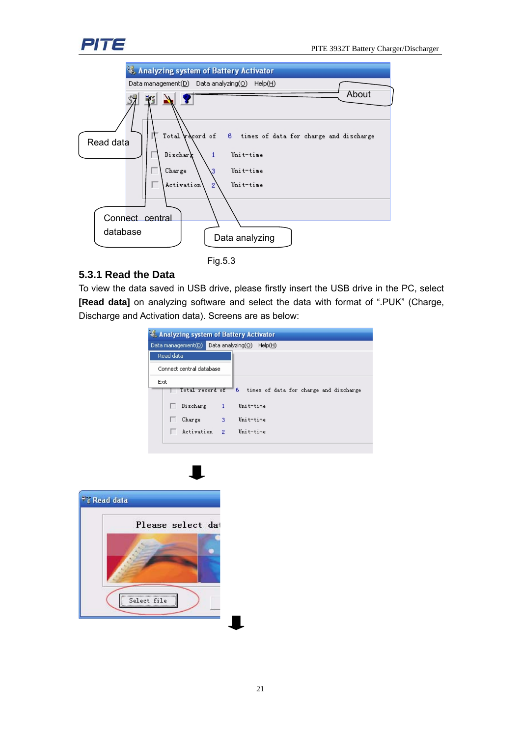



#### **5.3.1 Read the Data**

To view the data saved in USB drive, please firstly insert the USB drive in the PC, select **[Read data]** on analyzing software and select the data with format of ".PUK" (Charge, Discharge and Activation data). Screens are as below:

| Analyzing system of Battery Activator        |    |                                                          |  |  |
|----------------------------------------------|----|----------------------------------------------------------|--|--|
| Data management(D) Data analyzing(O) Help(H) |    |                                                          |  |  |
| Read data                                    |    |                                                          |  |  |
| Connect central database                     |    |                                                          |  |  |
| Exit                                         |    | Total record of 6 times of data for charge and discharge |  |  |
| Discharg 1                                   |    | Unit-time                                                |  |  |
| Charge                                       | 3. | Unit-time                                                |  |  |
| Activation <sub>2</sub>                      |    | Unit-time                                                |  |  |
|                                              |    |                                                          |  |  |

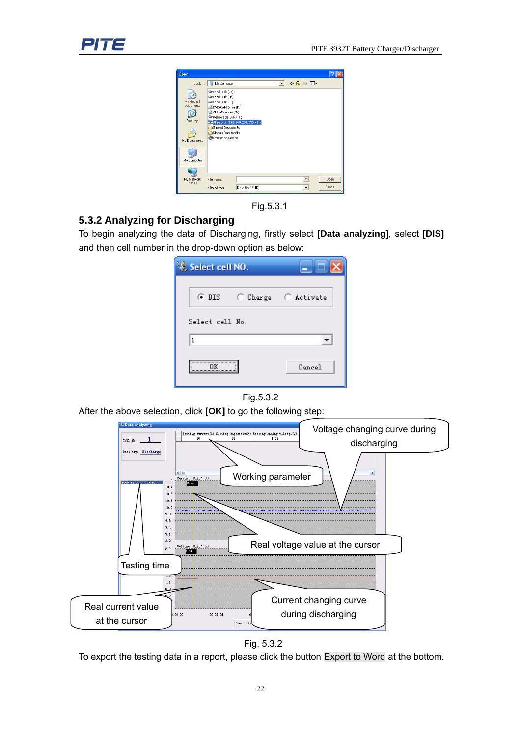

| <b>Open</b>                                                       |                                                                                                                                                                    |                                     |                          |                           |                |
|-------------------------------------------------------------------|--------------------------------------------------------------------------------------------------------------------------------------------------------------------|-------------------------------------|--------------------------|---------------------------|----------------|
| Look in:                                                          | My Computer                                                                                                                                                        |                                     | $\overline{\phantom{a}}$ | $\div$ $\blacksquare$     |                |
| My Recent<br>Documents.<br>Desktop<br>My Documents<br>My Computer | Disk (C:)<br>Disk (D:)<br>Disk (E:)<br>DVD-RAM Drive (F:)<br>ChinaTelecom (G:)<br>Removable Disk (H:)<br>Shared Documents<br>Diana's Documents<br>USB Video Device | - Allegro on '192.168.252.250' (2:) |                          |                           |                |
| My Network<br>Places                                              | File name:<br>Files of type:                                                                                                                                       | Data file(".PUK)                    |                          | ٠<br>$\blacktriangledown$ | Open<br>Cancel |

Fig.5.3.1

#### **5.3.2 Analyzing for Discharging**

To begin analyzing the data of Discharging, firstly select **[Data analyzing]**, select **[DIS]** and then cell number in the drop-down option as below:

| Select cell NO. |  |                        |  |
|-----------------|--|------------------------|--|
|                 |  | ODIS CCharge CActivate |  |
| Select cell No. |  |                        |  |
| 1               |  |                        |  |
| öΨ              |  | Cancel                 |  |

Fig.5.3.2

After the above selection, click **[OK]** to go the following step:



Fig. 5.3.2

To export the testing data in a report, please click the button Export to Word at the bottom.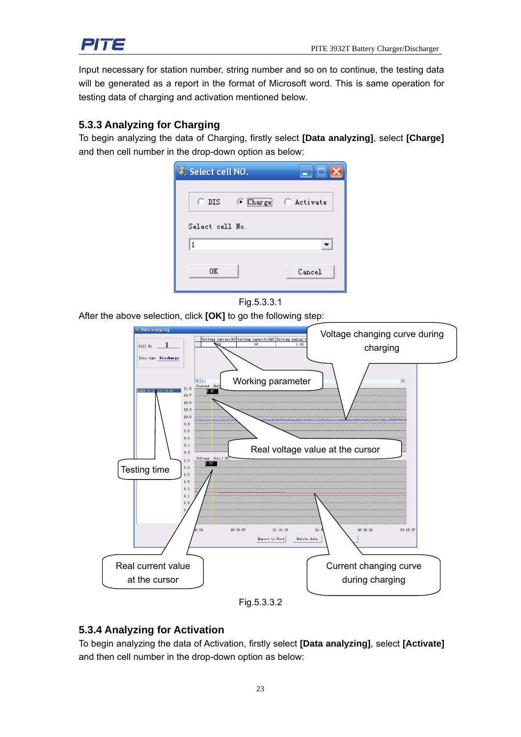

Input necessary for station number, string number and so on to continue, the testing data will be generated as a report in the format of Microsoft word. This is same operation for testing data of charging and activation mentioned below.

#### **5.3.3 Analyzing for Charging**

To begin analyzing the data of Charging, firstly select **[Data analyzing]**, select **[Charge]** and then cell number in the drop-down option as below:





After the above selection, click **[OK]** to go the following step:



#### **5.3.4 Analyzing for Activation**

To begin analyzing the data of Activation, firstly select **[Data analyzing]**, select **[Activate]** and then cell number in the drop-down option as below: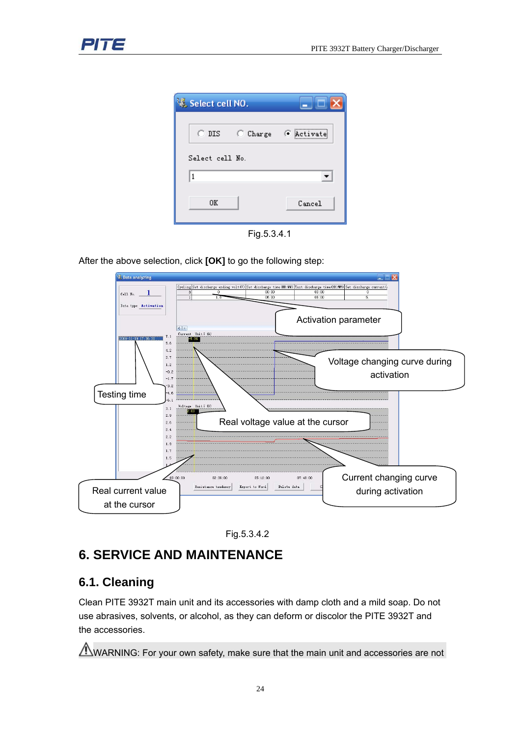





After the above selection, click **[OK]** to go the following step:





# **6. SERVICE AND MAINTENANCE**

# **6.1. Cleaning**

Clean PITE 3932T main unit and its accessories with damp cloth and a mild soap. Do not use abrasives, solvents, or alcohol, as they can deform or discolor the PITE 3932T and the accessories.

 $\Lambda$ WARNING: For your own safety, make sure that the main unit and accessories are not